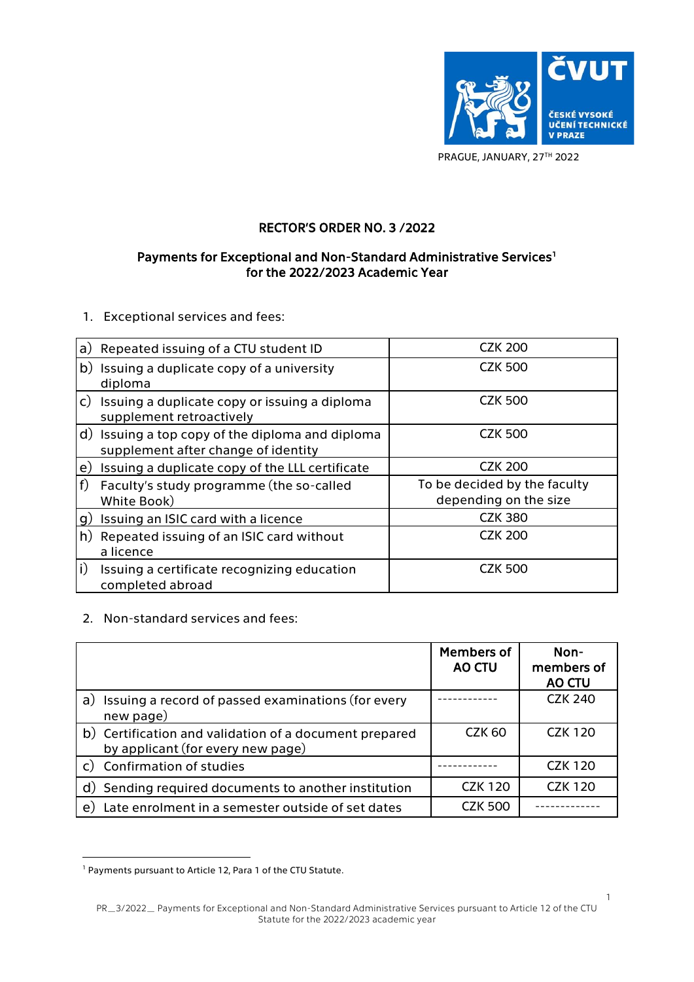

PRAGUE, JANUARY, 27TH 2022

## RECTOR'S ORDER NO. 3 /2022

## Payments for Exceptional and Non-Standard Administrative Services<sup>1</sup> for the 2022/2023 Academic Year

1. Exceptional services and fees:

|                | a) Repeated issuing of a CTU student ID                                                 | <b>CZK 200</b>                                        |
|----------------|-----------------------------------------------------------------------------------------|-------------------------------------------------------|
|                | b) Issuing a duplicate copy of a university<br>diploma                                  | <b>CZK 500</b>                                        |
| $\mathsf{C}$ ) | Issuing a duplicate copy or issuing a diploma<br>supplement retroactively               | <b>CZK 500</b>                                        |
|                | d) Issuing a top copy of the diploma and diploma<br>supplement after change of identity | <b>CZK 500</b>                                        |
| e)             | Issuing a duplicate copy of the LLL certificate                                         | <b>CZK 200</b>                                        |
| f              | Faculty's study programme (the so-called<br>White Book)                                 | To be decided by the faculty<br>depending on the size |
| g)             | Issuing an ISIC card with a licence                                                     | <b>CZK 380</b>                                        |
| h)             | Repeated issuing of an ISIC card without<br>a licence                                   | <b>CZK 200</b>                                        |
| i)             | Issuing a certificate recognizing education<br>completed abroad                         | <b>CZK 500</b>                                        |

## 2. Non-standard services and fees:

|                                                                                             | <b>Members of</b><br>AO CTU | Non-<br>members of<br><b>AO CTU</b> |
|---------------------------------------------------------------------------------------------|-----------------------------|-------------------------------------|
| a) Issuing a record of passed examinations (for every<br>new page)                          |                             | <b>CZK 240</b>                      |
| b) Certification and validation of a document prepared<br>by applicant (for every new page) | <b>CZK 60</b>               | <b>CZK 120</b>                      |
| c) Confirmation of studies                                                                  |                             | <b>CZK 120</b>                      |
| d) Sending required documents to another institution                                        | <b>CZK 120</b>              | <b>CZK 120</b>                      |
| Late enrolment in a semester outside of set dates<br>e)                                     | <b>CZK 500</b>              |                                     |

<sup>1</sup> Payments pursuant to Article 12, Para 1 of the CTU Statute.

1

PR\_3/2022\_ Payments for Exceptional and Non-Standard Administrative Services pursuant to Article 12 of the CTU Statute for the 2022/2023 academic year